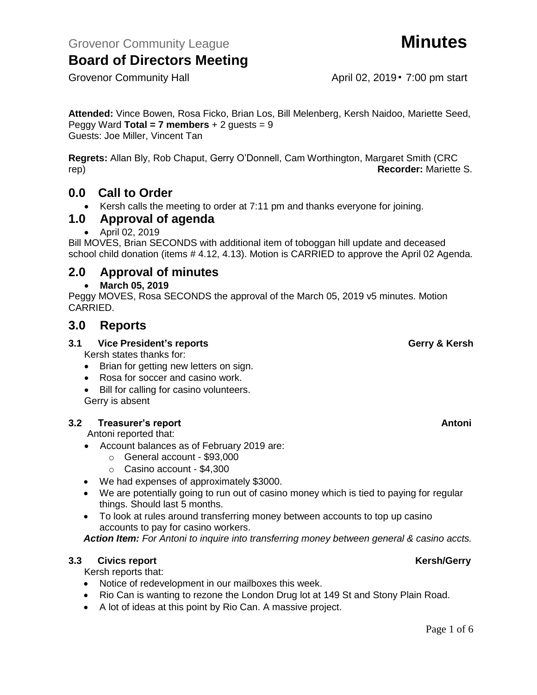Grovenor Community Hall April 02, 2019 • 7:00 pm start

**Attended:** Vince Bowen, Rosa Ficko, Brian Los, Bill Melenberg, Kersh Naidoo, Mariette Seed, Peggy Ward **Total = 7 members**  $+ 2$  guests = 9 Guests: Joe Miller, Vincent Tan

**Regrets:** Allan Bly, Rob Chaput, Gerry O'Donnell, Cam Worthington, Margaret Smith (CRC rep) **Recorder:** Mariette S.

## **0.0 Call to Order**

• Kersh calls the meeting to order at 7:11 pm and thanks everyone for joining.

## **1.0 Approval of agenda**

• April 02, 2019

Bill MOVES, Brian SECONDS with additional item of toboggan hill update and deceased school child donation (items # 4.12, 4.13). Motion is CARRIED to approve the April 02 Agenda.

## **2.0 Approval of minutes**

### • **March 05, 2019**

Peggy MOVES, Rosa SECONDS the approval of the March 05, 2019 v5 minutes. Motion CARRIED.

## **3.0 Reports**

### **3.1 Vice President's reports Gerry & Kersh**

Kersh states thanks for:

- Brian for getting new letters on sign.
- Rosa for soccer and casino work.
- Bill for calling for casino volunteers. Gerry is absent

## **3.2 Treasurer's report Antonic Street Antonic Street Antonic Street Antonic Street Antonic Antonic Antonic Antoni**

Antoni reported that:

- Account balances as of February 2019 are:
	- o General account \$93,000
	- o Casino account \$4,300
- We had expenses of approximately \$3000.
- We are potentially going to run out of casino money which is tied to paying for regular things. Should last 5 months.
- To look at rules around transferring money between accounts to top up casino accounts to pay for casino workers.

*Action Item: For Antoni to inquire into transferring money between general & casino accts.*

### **3.3** Civics report **Kersh/Gerry**

Kersh reports that:

- Notice of redevelopment in our mailboxes this week.
- Rio Can is wanting to rezone the London Drug lot at 149 St and Stony Plain Road.
- A lot of ideas at this point by Rio Can. A massive project.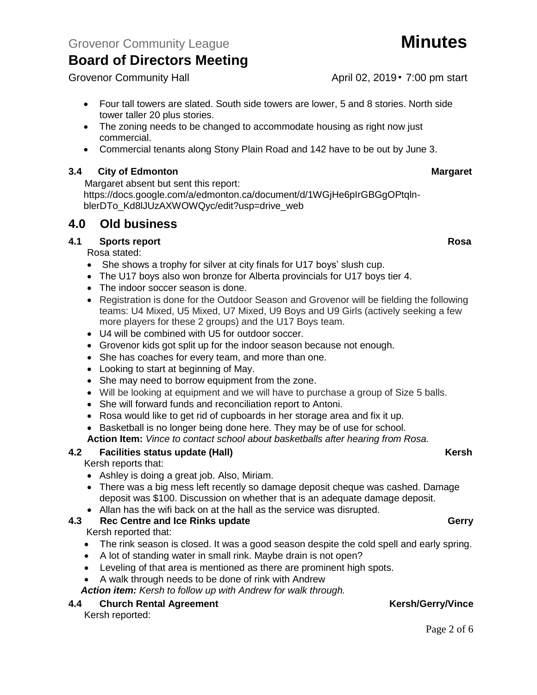- Four tall towers are slated. South side towers are lower, 5 and 8 stories. North side tower taller 20 plus stories.
- The zoning needs to be changed to accommodate housing as right now just commercial.
- Commercial tenants along Stony Plain Road and 142 have to be out by June 3.

## **3.4 City of Edmonton Margaret**

Margaret absent but sent this report:

https://docs.google.com/a/edmonton.ca/document/d/1WGjHe6pIrGBGgOPtqlnblerDTo\_Kd8lJUzAXWOWQyc/edit?usp=drive\_web

## **4.0 Old business**

## **4.1 Sports report Rosa**

Rosa stated:

- She shows a trophy for silver at city finals for U17 boys' slush cup.
- The U17 boys also won bronze for Alberta provincials for U17 boys tier 4.
- The indoor soccer season is done.
- Registration is done for the Outdoor Season and Grovenor will be fielding the following teams: U4 Mixed, U5 Mixed, U7 Mixed, U9 Boys and U9 Girls (actively seeking a few more players for these 2 groups) and the U17 Boys team.
- U4 will be combined with U5 for outdoor soccer.
- Grovenor kids got split up for the indoor season because not enough.
- She has coaches for every team, and more than one.
- Looking to start at beginning of May.
- She may need to borrow equipment from the zone.
- Will be looking at equipment and we will have to purchase a group of Size 5 balls.
- She will forward funds and reconciliation report to Antoni.
- Rosa would like to get rid of cupboards in her storage area and fix it up.
- Basketball is no longer being done here. They may be of use for school.

**Action Item:** *Vince to contact school about basketballs after hearing from Rosa.*

## **4.2 Facilities status update (Hall)** Allowski Charles Constantine Charles Charles Charles Charles Charles Charles Charles Charles Charles Charles Charles Charles Charles Charles Charles Charles Charles Charles Charles C

Kersh reports that:

- Ashley is doing a great job. Also, Miriam.
- There was a big mess left recently so damage deposit cheque was cashed. Damage deposit was \$100. Discussion on whether that is an adequate damage deposit.
- Allan has the wifi back on at the hall as the service was disrupted.

## **4.3 Rec Centre and Ice Rinks update Gerry Gerry Gerry**

Kersh reported that:

- The rink season is closed. It was a good season despite the cold spell and early spring.
- A lot of standing water in small rink. Maybe drain is not open?
- Leveling of that area is mentioned as there are prominent high spots.
- A walk through needs to be done of rink with Andrew

*Action item: Kersh to follow up with Andrew for walk through.*

## **4.4 Church Rental Agreement Kersh/Gerry/Vince**

Kersh reported:

Page 2 of 6

Grovenor Community Hall April 02, 2019 • 7:00 pm start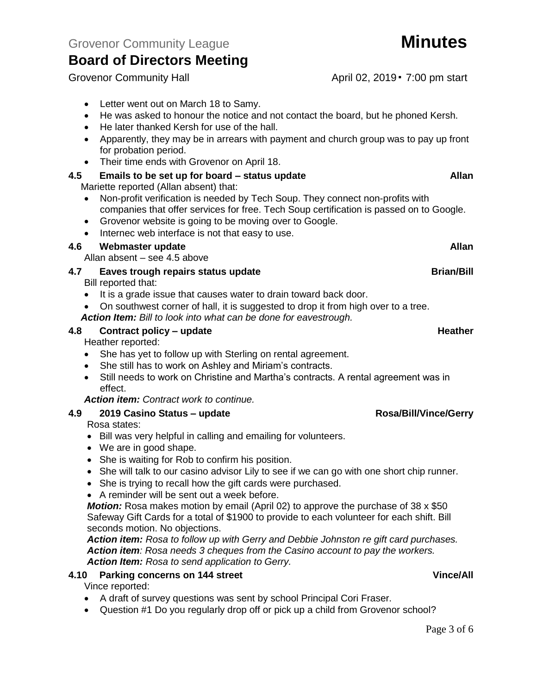- Letter went out on March 18 to Samy.
- He was asked to honour the notice and not contact the board, but he phoned Kersh.
- He later thanked Kersh for use of the hall.
- Apparently, they may be in arrears with payment and church group was to pay up front for probation period.
- Their time ends with Grovenor on April 18.
- **4.5 Emails to be set up for board – status update Allan**

Mariette reported (Allan absent) that:

- Non-profit verification is needed by Tech Soup. They connect non-profits with companies that offer services for free. Tech Soup certification is passed on to Google.
- Grovenor website is going to be moving over to Google.
- Internec web interface is not that easy to use.

## **4.6 Webmaster update Allan**

Allan absent – see 4.5 above

**4.7 Eaves trough repairs status update Brian/Bill**

Bill reported that:

- It is a grade issue that causes water to drain toward back door.
- On southwest corner of hall, it is suggested to drop it from high over to a tree.
- *Action Item: Bill to look into what can be done for eavestrough.*

## **4.8 Contract policy – update Heather**

Heather reported:

- She has yet to follow up with Sterling on rental agreement.
- She still has to work on Ashley and Miriam's contracts.
- Still needs to work on Christine and Martha's contracts. A rental agreement was in effect.

*Action item: Contract work to continue.*

**4.9 2019 Casino Status – update Rosa/Bill/Vince/Gerry**

Rosa states:

- Bill was very helpful in calling and emailing for volunteers.
- We are in good shape.
- She is waiting for Rob to confirm his position.
- She will talk to our casino advisor Lily to see if we can go with one short chip runner.
- She is trying to recall how the gift cards were purchased.
- A reminder will be sent out a week before.

*Motion:* Rosa makes motion by email (April 02) to approve the purchase of 38 x \$50 Safeway Gift Cards for a total of \$1900 to provide to each volunteer for each shift. Bill seconds motion. No objections.

*Action item: Rosa to follow up with Gerry and Debbie Johnston re gift card purchases. Action item: Rosa needs 3 cheques from the Casino account to pay the workers. Action Item: Rosa to send application to Gerry.*

## **4.10 Parking concerns on 144 street Vince/All**

Vince reported:

- A draft of survey questions was sent by school Principal Cori Fraser.
- Question #1 Do you regularly drop off or pick up a child from Grovenor school?

Grovenor Community Hall April 02, 2019 • 7:00 pm start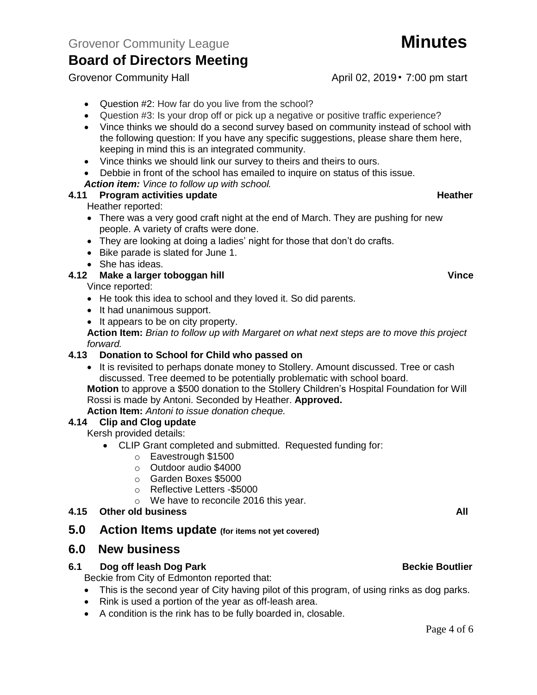Grovenor Community Hall April 02, 2019 • 7:00 pm start

- Question #2: How far do you live from the school?
- Question #3: Is your drop off or pick up a negative or positive traffic experience?
- Vince thinks we should do a second survey based on community instead of school with the following question: If you have any specific suggestions, please share them here, keeping in mind this is an integrated community.
- Vince thinks we should link our survey to theirs and theirs to ours.
- Debbie in front of the school has emailed to inquire on status of this issue.
- *Action item: Vince to follow up with school.*

## **4.11 Program activities update Action Activities and Activities Activities Activities Activities Activities Activities Activities Activities Activities Activities Activities Activities Activities Activities Activities Act**

Heather reported:

- There was a very good craft night at the end of March. They are pushing for new people. A variety of crafts were done.
- They are looking at doing a ladies' night for those that don't do crafts.
- Bike parade is slated for June 1.
- She has ideas.

## **4.12 Make a larger toboggan hill Vince**

Vince reported:

- He took this idea to school and they loved it. So did parents.
- It had unanimous support.
- It appears to be on city property.

**Action Item:** *Brian to follow up with Margaret on what next steps are to move this project forward.*

## **4.13 Donation to School for Child who passed on**

• It is revisited to perhaps donate money to Stollery. Amount discussed. Tree or cash discussed. Tree deemed to be potentially problematic with school board.

**Motion** to approve a \$500 donation to the Stollery Children's Hospital Foundation for Will Rossi is made by Antoni. Seconded by Heather. **Approved.**

**Action Item:** *Antoni to issue donation cheque.*

## **4.14 Clip and Clog update**

Kersh provided details:

- CLIP Grant completed and submitted. Requested funding for:
	- o Eavestrough \$1500
	- o Outdoor audio \$4000
	- o Garden Boxes \$5000
	- o Reflective Letters -\$5000
	- o We have to reconcile 2016 this year.

## **4.15 Other old business All**

**5.0 Action Items update (for items not yet covered)**

## **6.0 New business**

## **6.1 Dog off leash Dog Park Beckie Boutlier Beckie Boutlier**

Beckie from City of Edmonton reported that:

- This is the second year of City having pilot of this program, of using rinks as dog parks.
- Rink is used a portion of the year as off-leash area.
- A condition is the rink has to be fully boarded in, closable.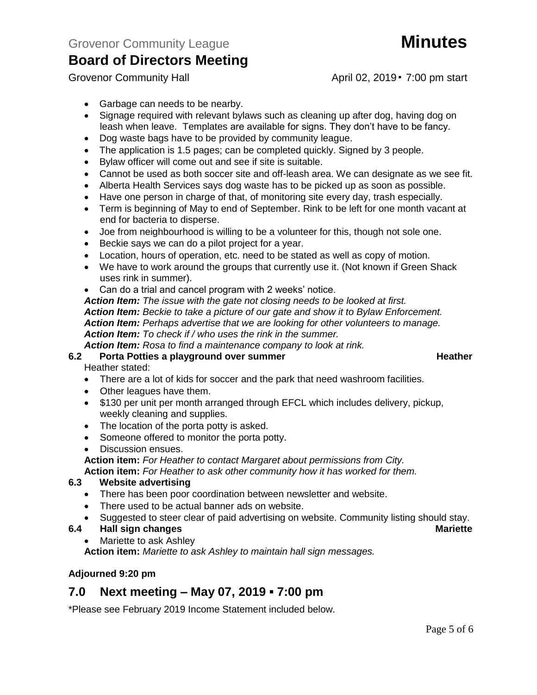Grovenor Community Hall April 02, 2019 • 7:00 pm start

- Garbage can needs to be nearby.
- Signage required with relevant bylaws such as cleaning up after dog, having dog on leash when leave. Templates are available for signs. They don't have to be fancy.
- Dog waste bags have to be provided by community league.
- The application is 1.5 pages; can be completed quickly. Signed by 3 people.
- Bylaw officer will come out and see if site is suitable.
- Cannot be used as both soccer site and off-leash area. We can designate as we see fit.
- Alberta Health Services says dog waste has to be picked up as soon as possible.
- Have one person in charge of that, of monitoring site every day, trash especially.
- Term is beginning of May to end of September. Rink to be left for one month vacant at end for bacteria to disperse.
- Joe from neighbourhood is willing to be a volunteer for this, though not sole one.
- Beckie says we can do a pilot project for a year.
- Location, hours of operation, etc. need to be stated as well as copy of motion.
- We have to work around the groups that currently use it. (Not known if Green Shack uses rink in summer).
- Can do a trial and cancel program with 2 weeks' notice.

*Action Item: The issue with the gate not closing needs to be looked at first. Action Item: Beckie to take a picture of our gate and show it to Bylaw Enforcement. Action Item: Perhaps advertise that we are looking for other volunteers to manage. Action Item: To check if / who uses the rink in the summer.*

*Action Item: Rosa to find a maintenance company to look at rink.*

## **6.2 Porta Potties a playground over summer Heather Heather**

Heather stated:

- There are a lot of kids for soccer and the park that need washroom facilities.
- Other leagues have them.
- \$130 per unit per month arranged through EFCL which includes delivery, pickup, weekly cleaning and supplies.
- The location of the porta potty is asked.
- Someone offered to monitor the porta potty.
- Discussion ensues.
- **Action item:** *For Heather to contact Margaret about permissions from City.*

**Action item:** *For Heather to ask other community how it has worked for them.*

## **6.3 Website advertising**

- There has been poor coordination between newsletter and website.
- There used to be actual banner ads on website.
- Suggested to steer clear of paid advertising on website. Community listing should stay.

## **6.4 Hall sign changes Mariette**

• Mariette to ask Ashley

**Action item:** *Mariette to ask Ashley to maintain hall sign messages.* 

## **Adjourned 9:20 pm**

## **7.0 Next meeting – May 07, 2019 ▪ 7:00 pm**

\*Please see February 2019 Income Statement included below.